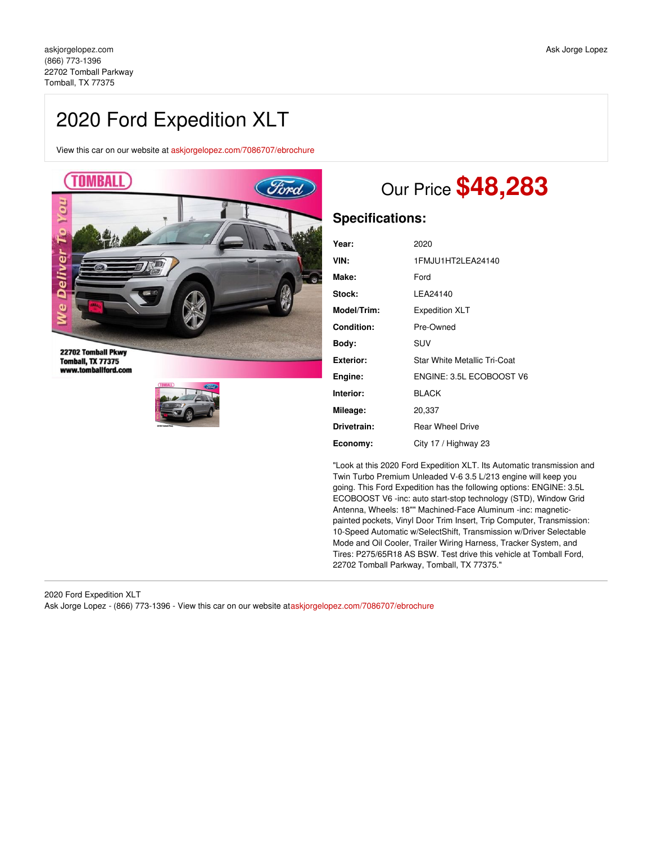## 2020 Ford Expedition XLT

View this car on our website at [askjorgelopez.com/7086707/ebrochure](https://askjorgelopez.com/vehicle/7086707/2020-ford-expedition-xlt-tomball-tx-77375/7086707/ebrochure)



**Tomball, TX 77375** www.tomballford.com



# Our Price **\$48,283**

### **Specifications:**

| Year:            | 2020                         |
|------------------|------------------------------|
| VIN:             | 1 FM JU1 HT2L FA24140        |
| Make:            | Ford                         |
| Stock:           | I FA24140                    |
| Model/Trim:      | <b>Expedition XLT</b>        |
| Condition:       | Pre-Owned                    |
| Body:            | SUV                          |
| <b>Exterior:</b> | Star White Metallic Tri-Coat |
| Engine:          | ENGINE: 3.5L ECOBOOST V6     |
| Interior:        | <b>BLACK</b>                 |
| Mileage:         | 20,337                       |
| Drivetrain:      | <b>Rear Wheel Drive</b>      |
| Economy:         | City 17 / Highway 23         |

"Look at this 2020 Ford Expedition XLT. Its Automatic transmission and Twin Turbo Premium Unleaded V-6 3.5 L/213 engine will keep you going. This Ford Expedition has the following options: ENGINE: 3.5L ECOBOOST V6 -inc: auto start-stop technology (STD), Window Grid Antenna, Wheels: 18"" Machined-Face Aluminum -inc: magneticpainted pockets, Vinyl Door Trim Insert, Trip Computer, Transmission: 10-Speed Automatic w/SelectShift, Transmission w/Driver Selectable Mode and Oil Cooler, Trailer Wiring Harness, Tracker System, and Tires: P275/65R18 AS BSW. Test drive this vehicle at Tomball Ford, 22702 Tomball Parkway, Tomball, TX 77375."

2020 Ford Expedition XLT Ask Jorge Lopez - (866) 773-1396 - View this car on our website at[askjorgelopez.com/7086707/ebrochure](https://askjorgelopez.com/vehicle/7086707/2020-ford-expedition-xlt-tomball-tx-77375/7086707/ebrochure)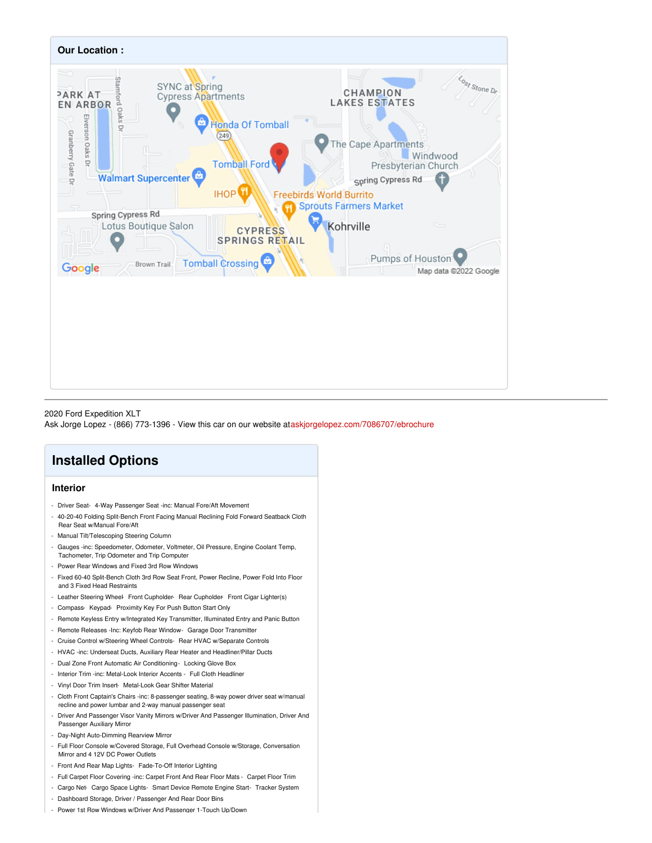

2020 Ford Expedition XLT Ask Jorge Lopez - (866) 773-1396 - View this car on our website at[askjorgelopez.com/7086707/ebrochure](https://askjorgelopez.com/vehicle/7086707/2020-ford-expedition-xlt-tomball-tx-77375/7086707/ebrochure)

## **Installed Options**

#### **Interior**

- Driver Seat- 4-Way Passenger Seat -inc: Manual Fore/Aft Movement
- 40-20-40 Folding Split-Bench Front Facing Manual Reclining Fold Forward Seatback Cloth Rear Seat w/Manual Fore/Aft
- Manual Tilt/Telescoping Steering Column
- Gauges -inc: Speedometer, Odometer, Voltmeter, Oil Pressure, Engine Coolant Temp, Tachometer, Trip Odometer and Trip Computer
- Power Rear Windows and Fixed 3rd Row Windows
- Fixed 60-40 Split-Bench Cloth 3rd Row Seat Front, Power Recline, Power Fold Into Floor and 3 Fixed Head Restraints
- Leather Steering Wheel- Front Cupholder- Rear Cupholder- Front Cigar Lighter(s)
- Compass- Keypad- Proximity Key For Push Button Start Only
- Remote Keyless Entry w/Integrated Key Transmitter, Illuminated Entry and Panic Button
- Remote Releases -Inc: Keyfob Rear Window- Garage Door Transmitter
- Cruise Control w/Steering Wheel Controls- Rear HVAC w/Separate Controls
- HVAC -inc: Underseat Ducts, Auxiliary Rear Heater and Headliner/Pillar Ducts
- Dual Zone Front Automatic Air Conditioning Locking Glove Box
- Interior Trim -inc: Metal-Look Interior Accents Full Cloth Headliner
- Vinyl Door Trim Insert- Metal-Look Gear Shifter Material
- Cloth Front Captain's Chairs -inc: 8-passenger seating, 8-way power driver seat w/manual recline and power lumbar and 2-way manual passenger seat
- Driver And Passenger Visor Vanity Mirrors w/Driver And Passenger Illumination, Driver And Passenger Auxiliary Mirror
- Day-Night Auto-Dimming Rearview Mirror
- Full Floor Console w/Covered Storage, Full Overhead Console w/Storage, Conversation Mirror and 4 12V DC Power Outlets
- Front And Rear Map Lights- Fade-To-Off Interior Lighting
- Full Carpet Floor Covering -inc: Carpet Front And Rear Floor Mats Carpet Floor Trim
- Cargo Net- Cargo Space Lights- Smart Device Remote Engine Start- Tracker System
- Dashboard Storage, Driver / Passenger And Rear Door Bins
- Power 1st Row Windows w/Driver And Passenger 1-Touch Up/Down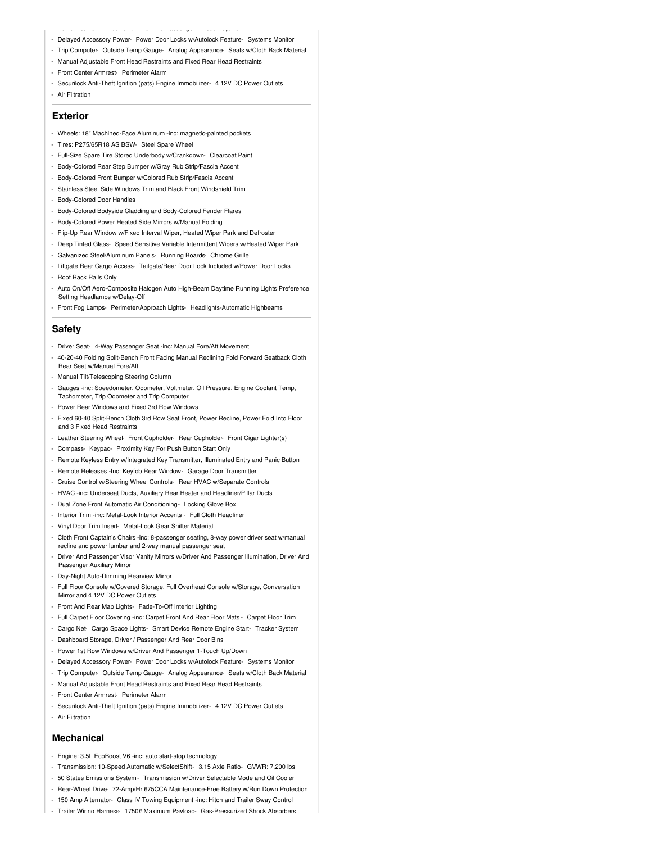- Delayed Accessory Power- Power Door Locks w/Autolock Feature- Systems Monitor
- Trip Computer- Outside Temp Gauge- Analog Appearance- Seats w/Cloth Back Material
- Manual Adjustable Front Head Restraints and Fixed Rear Head Restraints

- Power 1st Row Windows w/Driver And Passenger 1-Touch Up/Down

- Front Center Armrest- Perimeter Alarm
- Securilock Anti-Theft Ignition (pats) Engine Immobilizer- 4 12V DC Power Outlets
- Air Filtration

#### **Exterior**

- Wheels: 18" Machined-Face Aluminum -inc: magnetic-painted pockets
- Tires: P275/65R18 AS BSW- Steel Spare Wheel
- Full-Size Spare Tire Stored Underbody w/Crankdown- Clearcoat Paint
- Body-Colored Rear Step Bumper w/Gray Rub Strip/Fascia Accent
- Body-Colored Front Bumper w/Colored Rub Strip/Fascia Accent
- Stainless Steel Side Windows Trim and Black Front Windshield Trim
- Body-Colored Door Handles
- Body-Colored Bodyside Cladding and Body-Colored Fender Flares
- Body-Colored Power Heated Side Mirrors w/Manual Folding
- Flip-Up Rear Window w/Fixed Interval Wiper, Heated Wiper Park and Defroster
- Deep Tinted Glass- Speed Sensitive Variable Intermittent Wipers w/Heated Wiper Park
- Galvanized Steel/Aluminum Panels- Running Boards- Chrome Grille
- Liftgate Rear Cargo Access- Tailgate/Rear Door Lock Included w/Power Door Locks
- Roof Rack Rails Only
- Auto On/Off Aero-Composite Halogen Auto High-Beam Daytime Running Lights Preference Setting Headlamps w/Delay-Off
- Front Fog Lamps- Perimeter/Approach Lights- Headlights-Automatic Highbeams

#### **Safety**

- Driver Seat- 4-Way Passenger Seat -inc: Manual Fore/Aft Movement
- 40-20-40 Folding Split-Bench Front Facing Manual Reclining Fold Forward Seatback Cloth Rear Seat w/Manual Fore/Aft
- Manual Tilt/Telescoping Steering Column
- Gauges -inc: Speedometer, Odometer, Voltmeter, Oil Pressure, Engine Coolant Temp, Tachometer, Trip Odometer and Trip Computer
- Power Rear Windows and Fixed 3rd Row Windows
- Fixed 60-40 Split-Bench Cloth 3rd Row Seat Front, Power Recline, Power Fold Into Floor and 3 Fixed Head Restraints
- Leather Steering Wheel- Front Cupholder- Rear Cupholder- Front Cigar Lighter(s)
- Compass- Keypad- Proximity Key For Push Button Start Only
- Remote Keyless Entry w/Integrated Key Transmitter, Illuminated Entry and Panic Button
- Remote Releases -Inc: Keyfob Rear Window- Garage Door Transmitter
- Cruise Control w/Steering Wheel Controls- Rear HVAC w/Separate Controls
- HVAC -inc: Underseat Ducts, Auxiliary Rear Heater and Headliner/Pillar Ducts
- Dual Zone Front Automatic Air Conditioning- Locking Glove Box
- Interior Trim -inc: Metal-Look Interior Accents Full Cloth Headliner
- Vinyl Door Trim Insert- Metal-Look Gear Shifter Material
- Cloth Front Captain's Chairs -inc: 8-passenger seating, 8-way power driver seat w/manual recline and power lumbar and 2-way manual passenger seat
- Driver And Passenger Visor Vanity Mirrors w/Driver And Passenger Illumination, Driver And Passenger Auxiliary Mirror
- Day-Night Auto-Dimming Rearview Mirror
- Full Floor Console w/Covered Storage, Full Overhead Console w/Storage, Conversation Mirror and 4 12V DC Power Outlets
- Front And Rear Map Lights- Fade-To-Off Interior Lighting
- Full Carpet Floor Covering -inc: Carpet Front And Rear Floor Mats Carpet Floor Trim
- Cargo Net- Cargo Space Lights- Smart Device Remote Engine Start- Tracker System
- Dashboard Storage, Driver / Passenger And Rear Door Bins
- Power 1st Row Windows w/Driver And Passenger 1-Touch Up/Down
- Delayed Accessory Power- Power Door Locks w/Autolock Feature- Systems Monitor
- Trip Computer- Outside Temp Gauge- Analog Appearance- Seats w/Cloth Back Material
- Manual Adjustable Front Head Restraints and Fixed Rear Head Restraints
- Front Center Armrest- Perimeter Alarm
- Securilock Anti-Theft Ignition (pats) Engine Immobilizer- 4 12V DC Power Outlets
- Air Filtration

#### **Mechanical**

- Engine: 3.5L EcoBoost V6 -inc: auto start-stop technology
- Transmission: 10-Speed Automatic w/SelectShift- 3.15 Axle Ratio- GVWR: 7,200 lbs
- 50 States Emissions System- Transmission w/Driver Selectable Mode and Oil Cooler
- Rear-Wheel Drive- 72-Amp/Hr 675CCA Maintenance-Free Battery w/Run Down Protection
- 150 Amp Alternator- Class IV Towing Equipment -inc: Hitch and Trailer Sway Control
- Trailer Wiring Harness- 1750# Maximum Payload- Gas-Pressurized Shock Absorbers